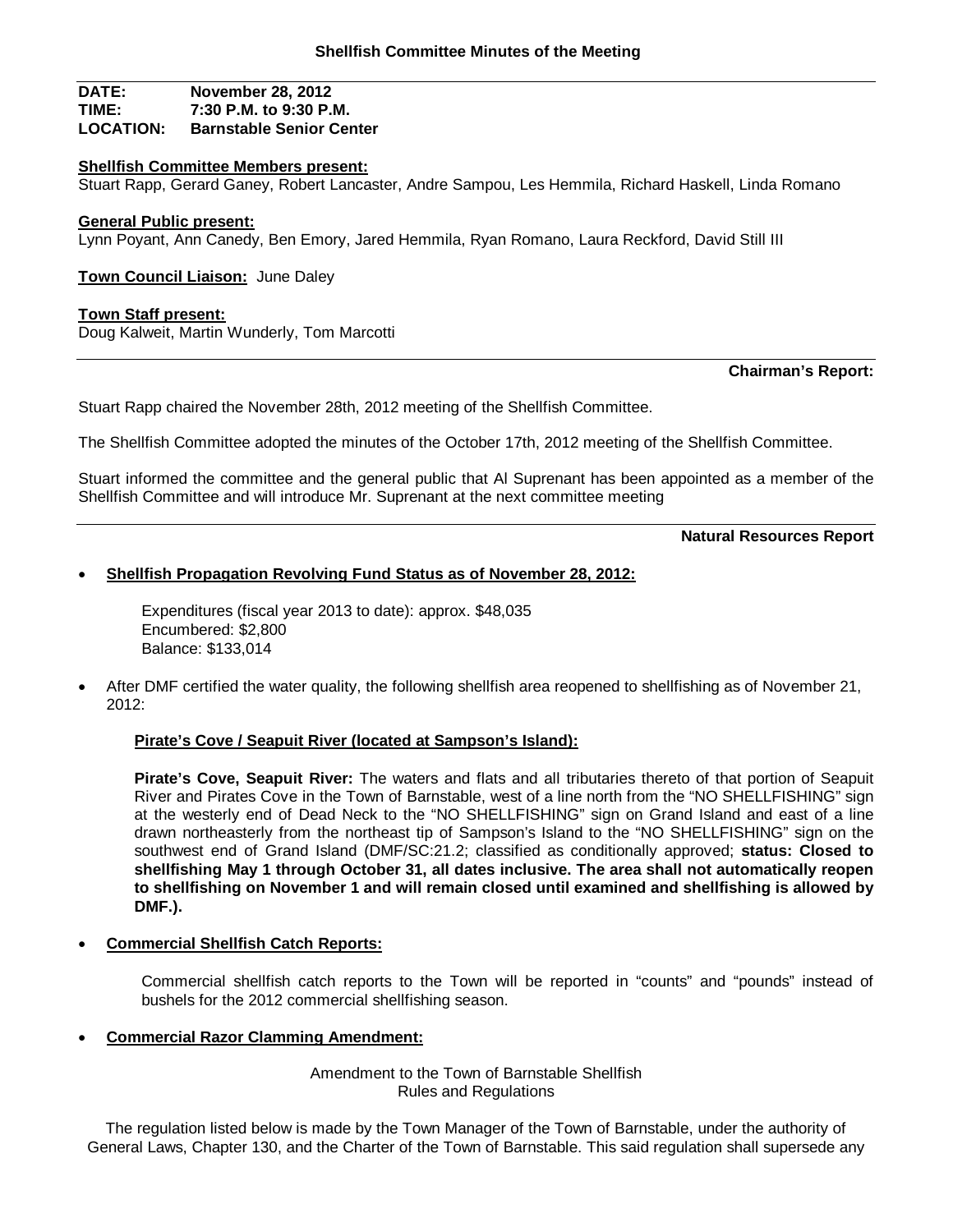### **DATE: November 28, 2012 TIME: 7:30 P.M. to 9:30 P.M. Barnstable Senior Center**

### **Shellfish Committee Members present:**

Stuart Rapp, Gerard Ganey, Robert Lancaster, Andre Sampou, Les Hemmila, Richard Haskell, Linda Romano

### **General Public present:**

Lynn Poyant, Ann Canedy, Ben Emory, Jared Hemmila, Ryan Romano, Laura Reckford, David Still III

**Town Council Liaison:** June Daley

### **Town Staff present:**

Doug Kalweit, Martin Wunderly, Tom Marcotti

**Chairman's Report:**

Stuart Rapp chaired the November 28th, 2012 meeting of the Shellfish Committee.

The Shellfish Committee adopted the minutes of the October 17th, 2012 meeting of the Shellfish Committee.

Stuart informed the committee and the general public that Al Suprenant has been appointed as a member of the Shellfish Committee and will introduce Mr. Suprenant at the next committee meeting

**Natural Resources Report**

### **Shellfish Propagation Revolving Fund Status as of November 28, 2012:**

Expenditures (fiscal year 2013 to date): approx. \$48,035 Encumbered: \$2,800 Balance: \$133,014

 After DMF certified the water quality, the following shellfish area reopened to shellfishing as of November 21, 2012:

### **Pirate's Cove / Seapuit River (located at Sampson's Island):**

**Pirate's Cove, Seapuit River:** The waters and flats and all tributaries thereto of that portion of Seapuit River and Pirates Cove in the Town of Barnstable, west of a line north from the "NO SHELLFISHING" sign at the westerly end of Dead Neck to the "NO SHELLFISHING" sign on Grand Island and east of a line drawn northeasterly from the northeast tip of Sampson's Island to the "NO SHELLFISHING" sign on the southwest end of Grand Island (DMF/SC:21.2; classified as conditionally approved; **status: Closed to shellfishing May 1 through October 31, all dates inclusive. The area shall not automatically reopen to shellfishing on November 1 and will remain closed until examined and shellfishing is allowed by DMF.).**

**Commercial Shellfish Catch Reports:**

Commercial shellfish catch reports to the Town will be reported in "counts" and "pounds" instead of bushels for the 2012 commercial shellfishing season.

### **Commercial Razor Clamming Amendment:**

Amendment to the Town of Barnstable Shellfish Rules and Regulations

The regulation listed below is made by the Town Manager of the Town of Barnstable, under the authority of General Laws, Chapter 130, and the Charter of the Town of Barnstable. This said regulation shall supersede any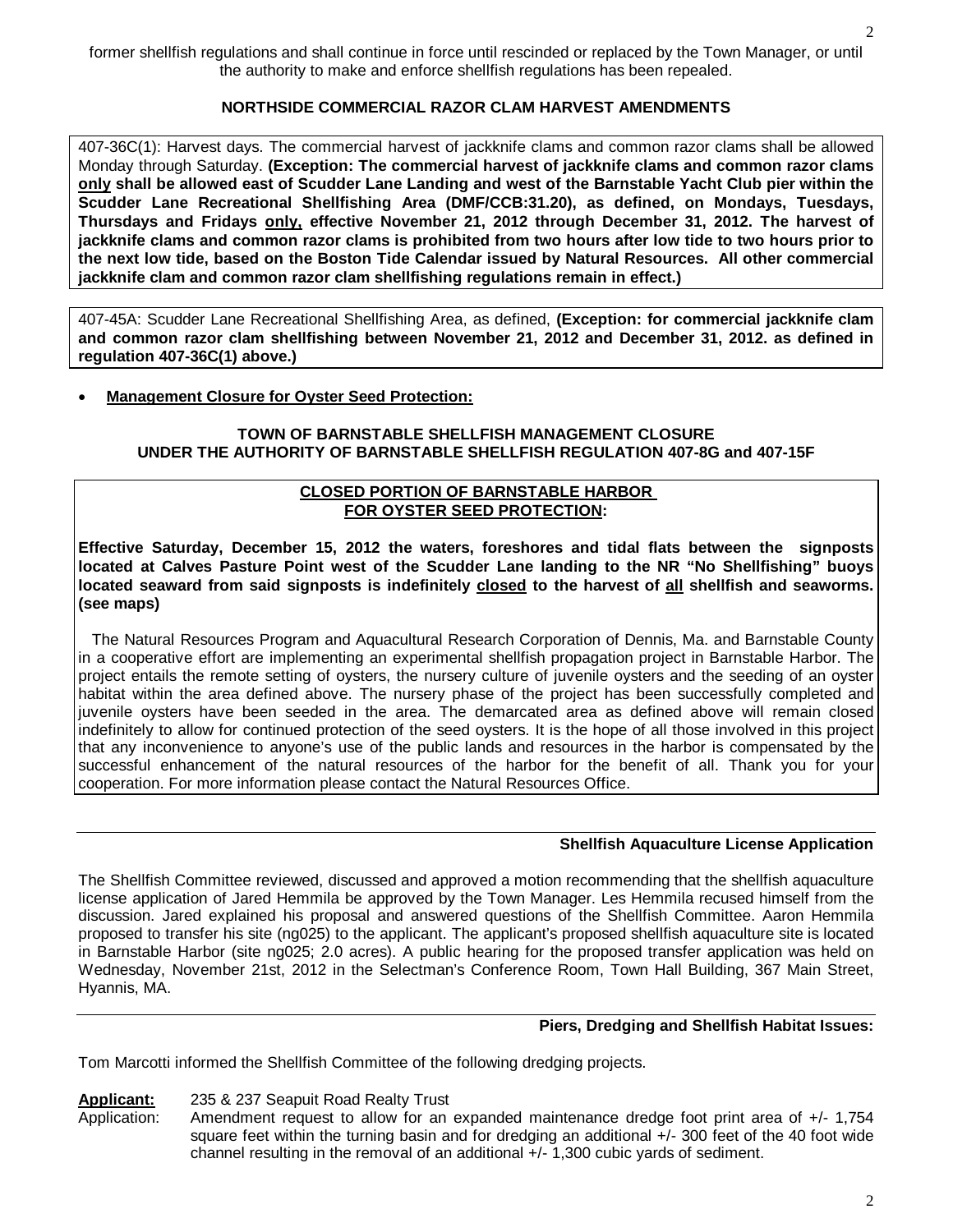former shellfish regulations and shall continue in force until rescinded or replaced by the Town Manager, or until the authority to make and enforce shellfish regulations has been repealed.

# **NORTHSIDE COMMERCIAL RAZOR CLAM HARVEST AMENDMENTS**

407-36C(1): Harvest days. The commercial harvest of jackknife clams and common razor clams shall be allowed Monday through Saturday. **(Exception: The commercial harvest of jackknife clams and common razor clams only shall be allowed east of Scudder Lane Landing and west of the Barnstable Yacht Club pier within the Scudder Lane Recreational Shellfishing Area (DMF/CCB:31.20), as defined, on Mondays, Tuesdays, Thursdays and Fridays only, effective November 21, 2012 through December 31, 2012. The harvest of jackknife clams and common razor clams is prohibited from two hours after low tide to two hours prior to the next low tide, based on the Boston Tide Calendar issued by Natural Resources. All other commercial jackknife clam and common razor clam shellfishing regulations remain in effect.)**

407-45A: Scudder Lane Recreational Shellfishing Area, as defined, **(Exception: for commercial jackknife clam and common razor clam shellfishing between November 21, 2012 and December 31, 2012. as defined in regulation 407-36C(1) above.)**

# **Management Closure for Oyster Seed Protection:**

### **TOWN OF BARNSTABLE SHELLFISH MANAGEMENT CLOSURE UNDER THE AUTHORITY OF BARNSTABLE SHELLFISH REGULATION 407-8G and 407-15F**

# **CLOSED PORTION OF BARNSTABLE HARBOR FOR OYSTER SEED PROTECTION:**

**Effective Saturday, December 15, 2012 the waters, foreshores and tidal flats between the signposts located at Calves Pasture Point west of the Scudder Lane landing to the NR "No Shellfishing" buoys located seaward from said signposts is indefinitely closed to the harvest of all shellfish and seaworms. (see maps)**

 The Natural Resources Program and Aquacultural Research Corporation of Dennis, Ma. and Barnstable County in a cooperative effort are implementing an experimental shellfish propagation project in Barnstable Harbor. The project entails the remote setting of oysters, the nursery culture of juvenile oysters and the seeding of an oyster habitat within the area defined above. The nursery phase of the project has been successfully completed and juvenile oysters have been seeded in the area. The demarcated area as defined above will remain closed indefinitely to allow for continued protection of the seed oysters. It is the hope of all those involved in this project that any inconvenience to anyone's use of the public lands and resources in the harbor is compensated by the successful enhancement of the natural resources of the harbor for the benefit of all. Thank you for your cooperation. For more information please contact the Natural Resources Office.

# **Shellfish Aquaculture License Application**

The Shellfish Committee reviewed, discussed and approved a motion recommending that the shellfish aquaculture license application of Jared Hemmila be approved by the Town Manager. Les Hemmila recused himself from the discussion. Jared explained his proposal and answered questions of the Shellfish Committee. Aaron Hemmila proposed to transfer his site (ng025) to the applicant. The applicant's proposed shellfish aquaculture site is located in Barnstable Harbor (site ng025; 2.0 acres). A public hearing for the proposed transfer application was held on Wednesday, November 21st, 2012 in the Selectman's Conference Room, Town Hall Building, 367 Main Street, Hyannis, MA.

### **Piers, Dredging and Shellfish Habitat Issues:**

Tom Marcotti informed the Shellfish Committee of the following dredging projects.

**Applicant:** 235 & 237 Seapuit Road Realty Trust

Application: Amendment request to allow for an expanded maintenance dredge foot print area of +/- 1,754 square feet within the turning basin and for dredging an additional  $+/-$  300 feet of the 40 foot wide channel resulting in the removal of an additional +/- 1,300 cubic yards of sediment.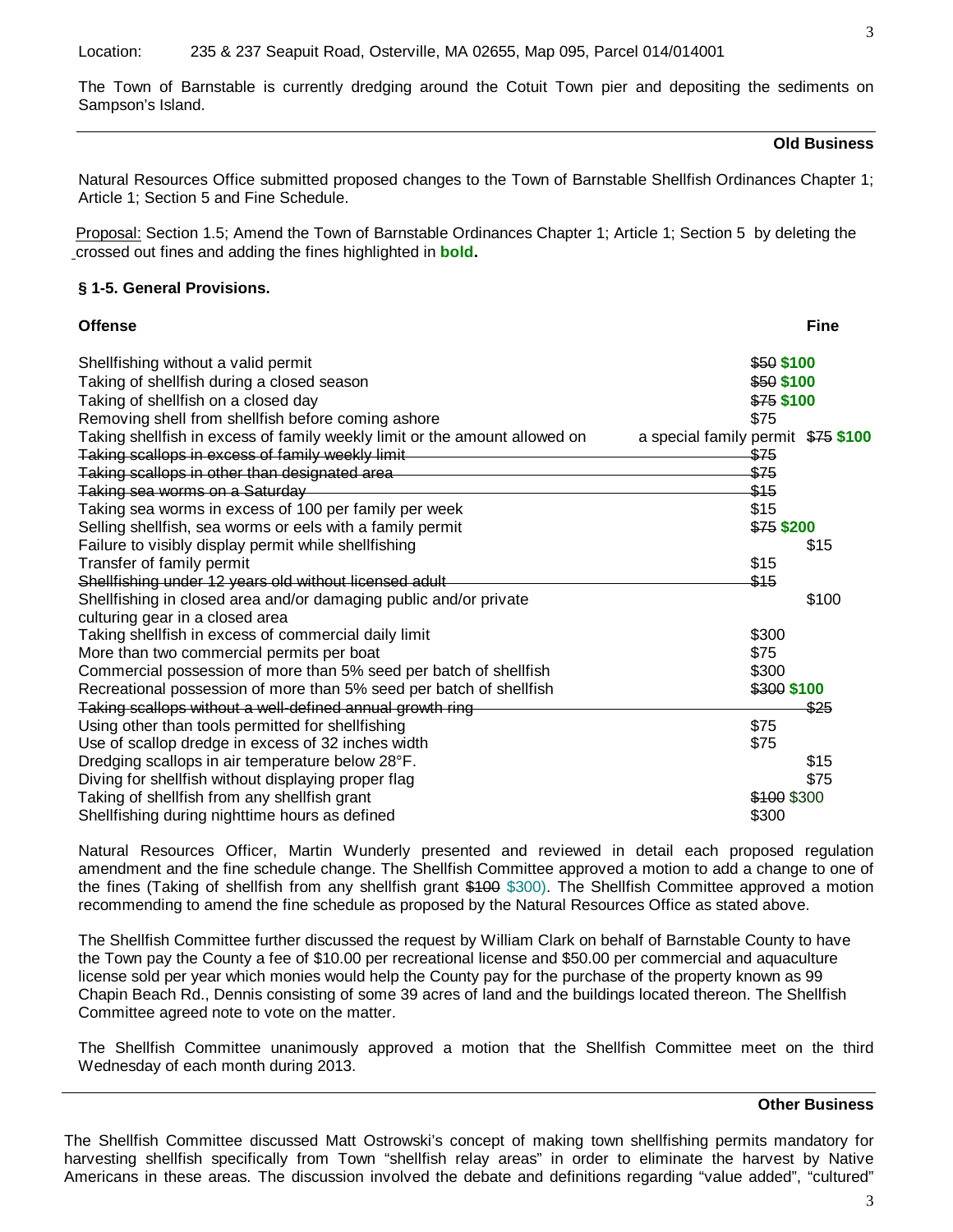The Town of Barnstable is currently dredging around the Cotuit Town pier and depositing the sediments on Sampson's Island.

### **Old Business**

Natural Resources Office submitted proposed changes to the Town of Barnstable Shellfish Ordinances Chapter 1; Article 1; Section 5 and Fine Schedule.

Proposal: Section 1.5; Amend the Town of Barnstable Ordinances Chapter 1; Article 1; Section 5 by deleting the crossed out fines and adding the fines highlighted in **bold.**

### **§ 1-5. General Provisions.**

| <b>Offense</b> | Fine |
|----------------|------|
|                |      |

| Shellfishing without a valid permit                                                                              | \$50 \$100  |       |
|------------------------------------------------------------------------------------------------------------------|-------------|-------|
| Taking of shellfish during a closed season                                                                       | \$50 \$100  |       |
| Taking of shellfish on a closed day                                                                              | $$75$ \$100 |       |
| Removing shell from shellfish before coming ashore                                                               | \$75        |       |
| Taking shellfish in excess of family weekly limit or the amount allowed on<br>a special family permit \$75 \$100 |             |       |
| Taking scallops in excess of family weekly limit                                                                 | \$75        |       |
| Taking scallops in other than designated area                                                                    | \$75        |       |
| Taking sea worms on a Saturday                                                                                   | \$15        |       |
| Taking sea worms in excess of 100 per family per week                                                            | \$15        |       |
| Selling shellfish, sea worms or eels with a family permit                                                        | \$75 \$200  |       |
| Failure to visibly display permit while shellfishing                                                             |             | \$15  |
| Transfer of family permit                                                                                        | \$15        |       |
| Shellfishing under 12 years old without licensed adult                                                           | \$15        |       |
| Shellfishing in closed area and/or damaging public and/or private                                                |             | \$100 |
| culturing gear in a closed area                                                                                  |             |       |
| Taking shellfish in excess of commercial daily limit                                                             | \$300       |       |
| More than two commercial permits per boat                                                                        | \$75        |       |
| Commercial possession of more than 5% seed per batch of shellfish                                                | \$300       |       |
| Recreational possession of more than 5% seed per batch of shellfish                                              | \$300 \$100 |       |
| Taking scallops without a well-defined annual growth ring                                                        |             | \$25  |
| Using other than tools permitted for shellfishing                                                                | \$75        |       |
| Use of scallop dredge in excess of 32 inches width                                                               | \$75        |       |
| Dredging scallops in air temperature below 28°F.                                                                 |             | \$15  |
| Diving for shellfish without displaying proper flag                                                              |             | \$75  |
| Taking of shellfish from any shellfish grant                                                                     | \$100 \$300 |       |
| Shellfishing during nighttime hours as defined                                                                   | \$300       |       |
|                                                                                                                  |             |       |

Natural Resources Officer, Martin Wunderly presented and reviewed in detail each proposed regulation amendment and the fine schedule change. The Shellfish Committee approved a motion to add a change to one of the fines (Taking of shellfish from any shellfish grant \$100 \$300). The Shellfish Committee approved a motion recommending to amend the fine schedule as proposed by the Natural Resources Office as stated above.

The Shellfish Committee further discussed the request by William Clark on behalf of Barnstable County to have the Town pay the County a fee of \$10.00 per recreational license and \$50.00 per commercial and aquaculture license sold per year which monies would help the County pay for the purchase of the property known as 99 Chapin Beach Rd., Dennis consisting of some 39 acres of land and the buildings located thereon. The Shellfish Committee agreed note to vote on the matter.

The Shellfish Committee unanimously approved a motion that the Shellfish Committee meet on the third Wednesday of each month during 2013.

#### **Other Business**

The Shellfish Committee discussed Matt Ostrowski's concept of making town shellfishing permits mandatory for harvesting shellfish specifically from Town "shellfish relay areas" in order to eliminate the harvest by Native Americans in these areas. The discussion involved the debate and definitions regarding "value added", "cultured"